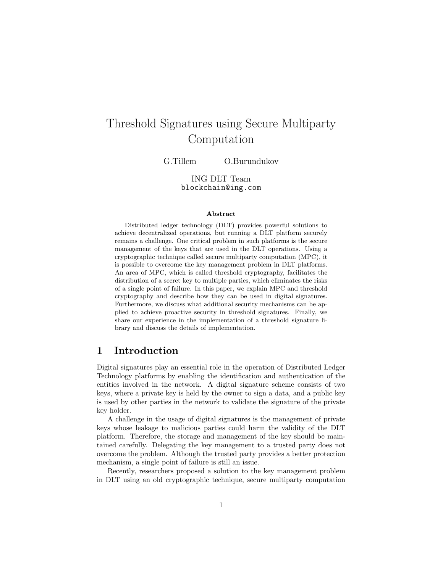# Threshold Signatures using Secure Multiparty Computation

G.Tillem O.Burundukov

ING DLT Team blockchain@ing.com

#### Abstract

Distributed ledger technology (DLT) provides powerful solutions to achieve decentralized operations, but running a DLT platform securely remains a challenge. One critical problem in such platforms is the secure management of the keys that are used in the DLT operations. Using a cryptographic technique called secure multiparty computation (MPC), it is possible to overcome the key management problem in DLT platforms. An area of MPC, which is called threshold cryptography, facilitates the distribution of a secret key to multiple parties, which eliminates the risks of a single point of failure. In this paper, we explain MPC and threshold cryptography and describe how they can be used in digital signatures. Furthermore, we discuss what additional security mechanisms can be applied to achieve proactive security in threshold signatures. Finally, we share our experience in the implementation of a threshold signature library and discuss the details of implementation.

### 1 Introduction

Digital signatures play an essential role in the operation of Distributed Ledger Technology platforms by enabling the identification and authentication of the entities involved in the network. A digital signature scheme consists of two keys, where a private key is held by the owner to sign a data, and a public key is used by other parties in the network to validate the signature of the private key holder.

A challenge in the usage of digital signatures is the management of private keys whose leakage to malicious parties could harm the validity of the DLT platform. Therefore, the storage and management of the key should be maintained carefully. Delegating the key management to a trusted party does not overcome the problem. Although the trusted party provides a better protection mechanism, a single point of failure is still an issue.

Recently, researchers proposed a solution to the key management problem in DLT using an old cryptographic technique, secure multiparty computation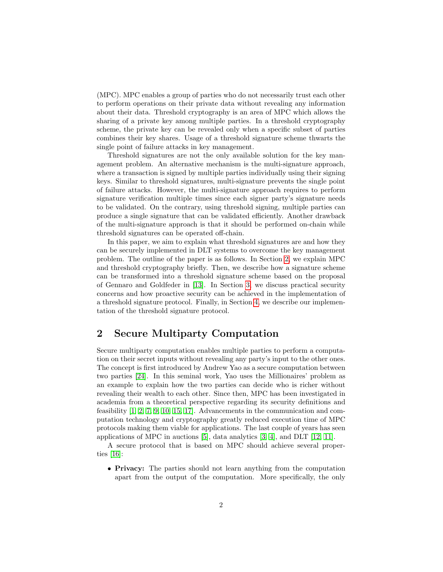(MPC). MPC enables a group of parties who do not necessarily trust each other to perform operations on their private data without revealing any information about their data. Threshold cryptography is an area of MPC which allows the sharing of a private key among multiple parties. In a threshold cryptography scheme, the private key can be revealed only when a specific subset of parties combines their key shares. Usage of a threshold signature scheme thwarts the single point of failure attacks in key management.

Threshold signatures are not the only available solution for the key management problem. An alternative mechanism is the multi-signature approach, where a transaction is signed by multiple parties individually using their signing keys. Similar to threshold signatures, multi-signature prevents the single point of failure attacks. However, the multi-signature approach requires to perform signature verification multiple times since each signer party's signature needs to be validated. On the contrary, using threshold signing, multiple parties can produce a single signature that can be validated efficiently. Another drawback of the multi-signature approach is that it should be performed on-chain while threshold signatures can be operated off-chain.

In this paper, we aim to explain what threshold signatures are and how they can be securely implemented in DLT systems to overcome the key management problem. The outline of the paper is as follows. In Section [2,](#page-1-0) we explain MPC and threshold cryptography briefly. Then, we describe how a signature scheme can be transformed into a threshold signature scheme based on the proposal of Gennaro and Goldfeder in [\[13\]](#page-8-0). In Section [3,](#page-5-0) we discuss practical security concerns and how proactive security can be achieved in the implementation of a threshold signature protocol. Finally, in Section [4,](#page-6-0) we describe our implementation of the threshold signature protocol.

# <span id="page-1-0"></span>2 Secure Multiparty Computation

Secure multiparty computation enables multiple parties to perform a computation on their secret inputs without revealing any party's input to the other ones. The concept is first introduced by Andrew Yao as a secure computation between two parties [\[24\]](#page-9-0). In this seminal work, Yao uses the Millionaires' problem as an example to explain how the two parties can decide who is richer without revealing their wealth to each other. Since then, MPC has been investigated in academia from a theoretical perspective regarding its security definitions and feasibility [\[1,](#page-7-0) [2,](#page-7-1) [7,](#page-7-2) [9,](#page-8-1) [10,](#page-8-2) [15,](#page-8-3) [17\]](#page-8-4). Advancements in the communication and computation technology and cryptography greatly reduced execution time of MPC protocols making them viable for applications. The last couple of years has seen applications of MPC in auctions [\[5\]](#page-7-3), data analytics [\[3,](#page-7-4) [4\]](#page-7-5), and DLT [\[12,](#page-8-5) [11\]](#page-8-6).

A secure protocol that is based on MPC should achieve several properties [\[16\]](#page-8-7):

• Privacy: The parties should not learn anything from the computation apart from the output of the computation. More specifically, the only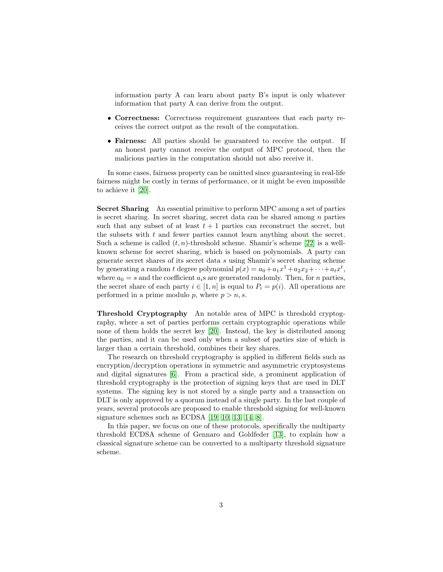information party A can learn about party B's input is only whatever information that party A can derive from the output.

- Correctness: Correctness requirement guarantees that each party receives the correct output as the result of the computation.
- **Fairness:** All parties should be guaranteed to receive the output. If an honest party cannot receive the output of MPC protocol, then the malicious parties in the computation should not also receive it.

In some cases, fairness property can be omitted since guaranteeing in real-life fairness might be costly in terms of performance, or it might be even impossible to achieve it [\[20\]](#page-8-8).

Secret Sharing An essential primitive to perform MPC among a set of parties is secret sharing. In secret sharing, secret data can be shared among n parties such that any subset of at least  $t + 1$  parties can reconstruct the secret, but the subsets with  $t$  and fewer parties cannot learn anything about the secret. Such a scheme is called  $(t, n)$ -threshold scheme. Shamir's scheme [\[22\]](#page-8-9) is a wellknown scheme for secret sharing, which is based on polynomials. A party can generate secret shares of its secret data s using Shamir's secret sharing scheme by generating a random t degree polynomial  $p(x) = a_0 + a_1x^1 + a_2x_2 + \cdots + a_tx^t$ , where  $a_0 = s$  and the coefficient  $a_i$ s are generated randomly. Then, for *n* parties, the secret share of each party  $i \in [1, n]$  is equal to  $P_i = p(i)$ . All operations are performed in a prime modulo p, where  $p > n$ , s.

Threshold Cryptography An notable area of MPC is threshold cryptography, where a set of parties performs certain cryptographic operations while none of them holds the secret key [\[20\]](#page-8-8). Instead, the key is distributed among the parties, and it can be used only when a subset of parties size of which is larger than a certain threshold, combines their key shares.

The research on threshold cryptography is applied in different fields such as encryption/decryption operations in symmetric and asymmetric cryptosystems and digital signatures [\[6\]](#page-7-6). From a practical side, a prominent application of threshold cryptography is the protection of signing keys that are used in DLT systems. The signing key is not stored by a single party and a transaction on DLT is only approved by a quorum instead of a single party. In the last couple of years, several protocols are proposed to enable threshold signing for well-known signature schemes such as ECDSA [\[19,](#page-8-10) [10,](#page-8-2) [13,](#page-8-0) [14,](#page-8-11) [8\]](#page-7-7).

In this paper, we focus on one of these protocols, specifically the multiparty threshold ECDSA scheme of Gennaro and Goldfeder [\[13\]](#page-8-0), to explain how a classical signature scheme can be converted to a multiparty threshold signature scheme.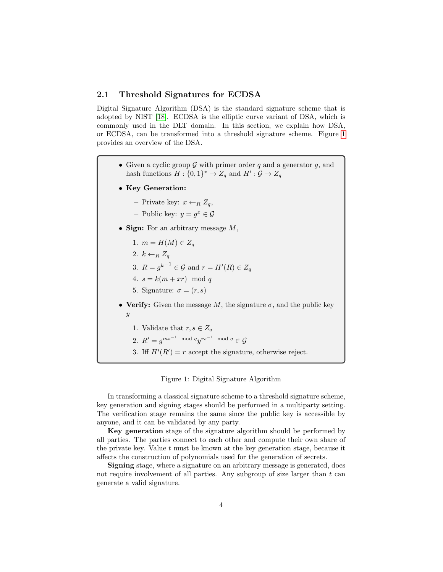#### <span id="page-3-1"></span>2.1 Threshold Signatures for ECDSA

Digital Signature Algorithm (DSA) is the standard signature scheme that is adopted by NIST [\[18\]](#page-8-12). ECDSA is the elliptic curve variant of DSA, which is commonly used in the DLT domain. In this section, we explain how DSA, or ECDSA, can be transformed into a threshold signature scheme. Figure [1](#page-3-0) provides an overview of the DSA.

- Given a cyclic group  $\mathcal G$  with primer order q and a generator  $g$ , and hash functions  $H: \{0,1\}^* \to Z_q$  and  $H': \mathcal{G} \to Z_q$
- Key Generation:
	- Private key:  $x \leftarrow_R Z_q$ ,
	- Public key:  $y = g^x \in \mathcal{G}$
- Sign: For an arbitrary message  $M$ ,
	- 1.  $m = H(M) \in Z_q$
	- 2.  $k \leftarrow_R Z_q$
	- 3.  $R = g^{k^{-1}} \in \mathcal{G}$  and  $r = H'(R) \in Z_q$
	- 4.  $s = k(m + xr) \mod q$
	- 5. Signature:  $\sigma = (r, s)$
- Verify: Given the message M, the signature  $\sigma$ , and the public key  $\boldsymbol{y}$ 
	- 1. Validate that  $r, s \in Z_q$
	- 2.  $R' = g^{ms^{-1} \mod q} y^{rs^{-1} \mod q} \in \mathcal{G}$
	- 3. Iff  $H'(R') = r$  accept the signature, otherwise reject.
		- Figure 1: Digital Signature Algorithm

<span id="page-3-0"></span>In transforming a classical signature scheme to a threshold signature scheme, key generation and signing stages should be performed in a multiparty setting. The verification stage remains the same since the public key is accessible by anyone, and it can be validated by any party.

Key generation stage of the signature algorithm should be performed by all parties. The parties connect to each other and compute their own share of the private key. Value  $t$  must be known at the key generation stage, because it affects the construction of polynomials used for the generation of secrets.

Signing stage, where a signature on an arbitrary message is generated, does not require involvement of all parties. Any subgroup of size larger than  $t$  can generate a valid signature.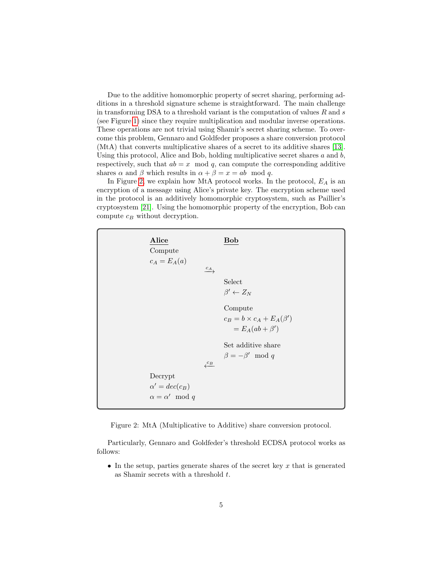Due to the additive homomorphic property of secret sharing, performing additions in a threshold signature scheme is straightforward. The main challenge in transforming DSA to a threshold variant is the computation of values  $R$  and  $s$ (see Figure [1\)](#page-3-0) since they require multiplication and modular inverse operations. These operations are not trivial using Shamir's secret sharing scheme. To overcome this problem, Gennaro and Goldfeder proposes a share conversion protocol (MtA) that converts multiplicative shares of a secret to its additive shares [\[13\]](#page-8-0). Using this protocol, Alice and Bob, holding multiplicative secret shares  $a$  and  $b$ , respectively, such that  $ab = x \mod q$ , can compute the corresponding additive shares  $\alpha$  and  $\beta$  which results in  $\alpha + \beta = x = ab \mod q$ .

In Figure [2,](#page-4-0) we explain how MtA protocol works. In the protocol,  $E_A$  is an encryption of a message using Alice's private key. The encryption scheme used in the protocol is an additively homomorphic cryptosystem, such as Paillier's cryptosystem [\[21\]](#page-8-13). Using the homomorphic property of the encryption, Bob can compute  $c_B$  without decryption.



<span id="page-4-0"></span>Figure 2: MtA (Multiplicative to Additive) share conversion protocol.

Particularly, Gennaro and Goldfeder's threshold ECDSA protocol works as follows:

• In the setup, parties generate shares of the secret key  $x$  that is generated as Shamir secrets with a threshold  $t$ .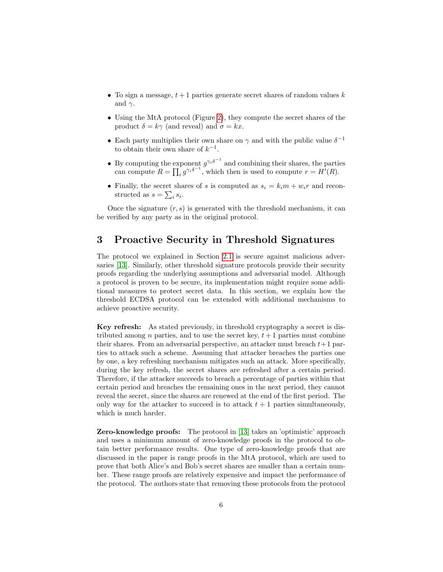- To sign a message,  $t + 1$  parties generate secret shares of random values k and  $\gamma$ .
- Using the MtA protocol (Figure [2\)](#page-4-0), they compute the secret shares of the product  $\delta = k\gamma$  (and reveal) and  $\sigma = kx$ .
- Each party multiplies their own share on  $\gamma$  and with the public value  $\delta^{-1}$ to obtain their own share of  $k^{-1}$ .
- By computing the exponent  $g^{\gamma_i \delta^{-1}}$  and combining their shares, the parties can compute  $R = \prod_i g^{\gamma_i \delta^{-1}}$ , which then is used to compute  $r = H'(R)$ .
- Finally, the secret shares of s is computed as  $s_i = k_i m + w_i r$  and reconstructed as  $s = \sum_i s_i$ .

Once the signature  $(r, s)$  is generated with the threshold mechanism, it can be verified by any party as in the original protocol.

# <span id="page-5-0"></span>3 Proactive Security in Threshold Signatures

The protocol we explained in Section [2.1](#page-3-1) is secure against malicious adversaries [\[13\]](#page-8-0). Similarly, other threshold signature protocols provide their security proofs regarding the underlying assumptions and adversarial model. Although a protocol is proven to be secure, its implementation might require some additional measures to protect secret data. In this section, we explain how the threshold ECDSA protocol can be extended with additional mechanisms to achieve proactive security.

Key refresh: As stated previously, in threshold cryptography a secret is distributed among n parties, and to use the secret key,  $t + 1$  parties must combine their shares. From an adversarial perspective, an attacker must breach  $t+1$  parties to attack such a scheme. Assuming that attacker breaches the parties one by one, a key refreshing mechanism mitigates such an attack. More specifically, during the key refresh, the secret shares are refreshed after a certain period. Therefore, if the attacker succeeds to breach a percentage of parties within that certain period and breaches the remaining ones in the next period, they cannot reveal the secret, since the shares are renewed at the end of the first period. The only way for the attacker to succeed is to attack  $t + 1$  parties simultaneously, which is much harder.

Zero-knowledge proofs: The protocol in [\[13\]](#page-8-0) takes an 'optimistic' approach and uses a minimum amount of zero-knowledge proofs in the protocol to obtain better performance results. One type of zero-knowledge proofs that are discussed in the paper is range proofs in the MtA protocol, which are used to prove that both Alice's and Bob's secret shares are smaller than a certain number. These range proofs are relatively expensive and impact the performance of the protocol. The authors state that removing these protocols from the protocol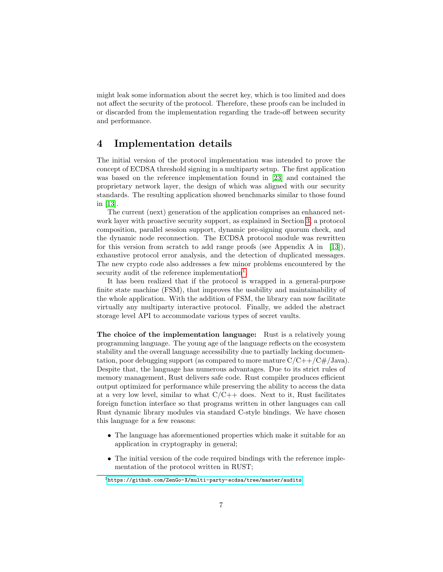might leak some information about the secret key, which is too limited and does not affect the security of the protocol. Therefore, these proofs can be included in or discarded from the implementation regarding the trade-off between security and performance.

### <span id="page-6-0"></span>4 Implementation details

The initial version of the protocol implementation was intended to prove the concept of ECDSA threshold signing in a multiparty setup. The first application was based on the reference implementation found in [\[23\]](#page-9-1) and contained the proprietary network layer, the design of which was aligned with our security standards. The resulting application showed benchmarks similar to those found in [\[13\]](#page-8-0).

The current (next) generation of the application comprises an enhanced network layer with proactive security support, as explained in Section [3,](#page-5-0) a protocol composition, parallel session support, dynamic pre-signing quorum check, and the dynamic node reconnection. The ECDSA protocol module was rewritten for this version from scratch to add range proofs (see Appendix A in [\[13\]](#page-8-0)), exhaustive protocol error analysis, and the detection of duplicated messages. The new crypto code also addresses a few minor problems encountered by the security audit of the reference implementation<sup>[1](#page-6-1)</sup>.

It has been realized that if the protocol is wrapped in a general-purpose finite state machine (FSM), that improves the usability and maintainability of the whole application. With the addition of FSM, the library can now facilitate virtually any multiparty interactive protocol. Finally, we added the abstract storage level API to accommodate various types of secret vaults.

The choice of the implementation language: Rust is a relatively young programming language. The young age of the language reflects on the ecosystem stability and the overall language accessibility due to partially lacking documentation, poor debugging support (as compared to more mature  $C/C++/C#/Java$ ). Despite that, the language has numerous advantages. Due to its strict rules of memory management, Rust delivers safe code. Rust compiler produces efficient output optimized for performance while preserving the ability to access the data at a very low level, similar to what  $C/C++$  does. Next to it, Rust facilitates foreign function interface so that programs written in other languages can call Rust dynamic library modules via standard C-style bindings. We have chosen this language for a few reasons:

- The language has aforementioned properties which make it suitable for an application in cryptography in general;
- The initial version of the code required bindings with the reference implementation of the protocol written in RUST;

<span id="page-6-1"></span> $^1$ <https://github.com/ZenGo-X/multi-party-ecdsa/tree/master/audits>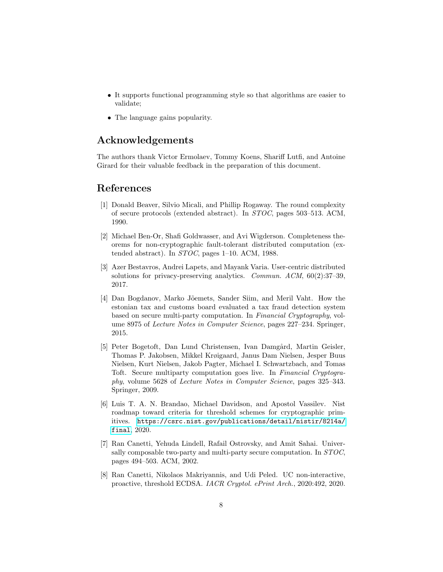- It supports functional programming style so that algorithms are easier to validate;
- The language gains popularity.

# Acknowledgements

The authors thank Victor Ermolaev, Tommy Koens, Shariff Lutfi, and Antoine Girard for their valuable feedback in the preparation of this document.

## References

- <span id="page-7-0"></span>[1] Donald Beaver, Silvio Micali, and Phillip Rogaway. The round complexity of secure protocols (extended abstract). In STOC, pages 503–513. ACM, 1990.
- <span id="page-7-1"></span>[2] Michael Ben-Or, Shafi Goldwasser, and Avi Wigderson. Completeness theorems for non-cryptographic fault-tolerant distributed computation (extended abstract). In STOC, pages 1–10. ACM, 1988.
- <span id="page-7-4"></span>[3] Azer Bestavros, Andrei Lapets, and Mayank Varia. User-centric distributed solutions for privacy-preserving analytics. *Commun. ACM*,  $60(2):37-39$ , 2017.
- <span id="page-7-5"></span>[4] Dan Bogdanov, Marko J˜oemets, Sander Siim, and Meril Vaht. How the estonian tax and customs board evaluated a tax fraud detection system based on secure multi-party computation. In Financial Cryptography, volume 8975 of Lecture Notes in Computer Science, pages 227–234. Springer, 2015.
- <span id="page-7-3"></span>[5] Peter Bogetoft, Dan Lund Christensen, Ivan Damgård, Martin Geisler, Thomas P. Jakobsen, Mikkel Krøigaard, Janus Dam Nielsen, Jesper Buus Nielsen, Kurt Nielsen, Jakob Pagter, Michael I. Schwartzbach, and Tomas Toft. Secure multiparty computation goes live. In Financial Cryptography, volume 5628 of Lecture Notes in Computer Science, pages 325–343. Springer, 2009.
- <span id="page-7-6"></span>[6] Luis T. A. N. Brandao, Michael Davidson, and Apostol Vassilev. Nist roadmap toward criteria for threshold schemes for cryptographic primitives. [https://csrc.nist.gov/publications/detail/nistir/8214a/](https://csrc.nist.gov/publications/detail/nistir/8214a/final) [final](https://csrc.nist.gov/publications/detail/nistir/8214a/final), 2020.
- <span id="page-7-2"></span>[7] Ran Canetti, Yehuda Lindell, Rafail Ostrovsky, and Amit Sahai. Universally composable two-party and multi-party secure computation. In STOC, pages 494–503. ACM, 2002.
- <span id="page-7-7"></span>[8] Ran Canetti, Nikolaos Makriyannis, and Udi Peled. UC non-interactive, proactive, threshold ECDSA. IACR Cryptol. ePrint Arch., 2020:492, 2020.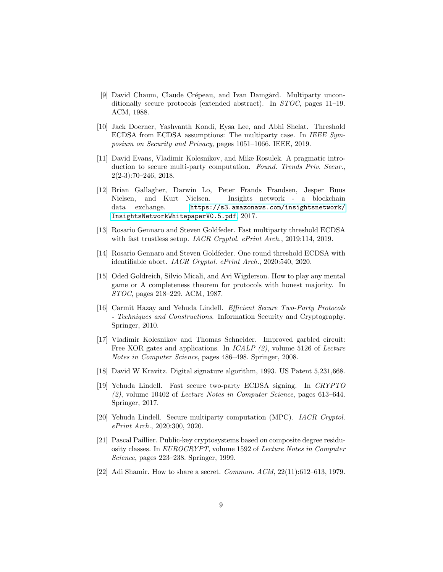- <span id="page-8-1"></span>[9] David Chaum, Claude Crépeau, and Ivan Damgård. Multiparty unconditionally secure protocols (extended abstract). In STOC, pages 11–19. ACM, 1988.
- <span id="page-8-2"></span>[10] Jack Doerner, Yashvanth Kondi, Eysa Lee, and Abhi Shelat. Threshold ECDSA from ECDSA assumptions: The multiparty case. In IEEE Symposium on Security and Privacy, pages 1051–1066. IEEE, 2019.
- <span id="page-8-6"></span>[11] David Evans, Vladimir Kolesnikov, and Mike Rosulek. A pragmatic introduction to secure multi-party computation. Found. Trends Priv. Secur.,  $2(2-3):70-246, 2018.$
- <span id="page-8-5"></span>[12] Brian Gallagher, Darwin Lo, Peter Frands Frandsen, Jesper Buus Nielsen, and Kurt Nielsen. Insights network - a blockchain data exchange. [https://s3.amazonaws.com/insightsnetwork/](https://s3.amazonaws.com/insightsnetwork/InsightsNetworkWhitepaperV0.5.pdf) [InsightsNetworkWhitepaperV0.5.pdf](https://s3.amazonaws.com/insightsnetwork/InsightsNetworkWhitepaperV0.5.pdf), 2017.
- <span id="page-8-0"></span>[13] Rosario Gennaro and Steven Goldfeder. Fast multiparty threshold ECDSA with fast trustless setup. IACR Cryptol. ePrint Arch., 2019:114, 2019.
- <span id="page-8-11"></span>[14] Rosario Gennaro and Steven Goldfeder. One round threshold ECDSA with identifiable abort. IACR Cryptol. ePrint Arch., 2020:540, 2020.
- <span id="page-8-3"></span>[15] Oded Goldreich, Silvio Micali, and Avi Wigderson. How to play any mental game or A completeness theorem for protocols with honest majority. In STOC, pages 218–229. ACM, 1987.
- <span id="page-8-7"></span>[16] Carmit Hazay and Yehuda Lindell. Efficient Secure Two-Party Protocols - Techniques and Constructions. Information Security and Cryptography. Springer, 2010.
- <span id="page-8-4"></span>[17] Vladimir Kolesnikov and Thomas Schneider. Improved garbled circuit: Free XOR gates and applications. In  $ICALP$  (2), volume 5126 of Lecture Notes in Computer Science, pages 486–498. Springer, 2008.
- <span id="page-8-12"></span>[18] David W Kravitz. Digital signature algorithm, 1993. US Patent 5,231,668.
- <span id="page-8-10"></span>[19] Yehuda Lindell. Fast secure two-party ECDSA signing. In CRYPTO (2), volume 10402 of Lecture Notes in Computer Science, pages 613–644. Springer, 2017.
- <span id="page-8-8"></span>[20] Yehuda Lindell. Secure multiparty computation (MPC). IACR Cryptol. ePrint Arch., 2020:300, 2020.
- <span id="page-8-13"></span>[21] Pascal Paillier. Public-key cryptosystems based on composite degree residuosity classes. In EUROCRYPT, volume 1592 of Lecture Notes in Computer Science, pages 223–238. Springer, 1999.
- <span id="page-8-9"></span>[22] Adi Shamir. How to share a secret. *Commun. ACM*, 22(11):612–613, 1979.